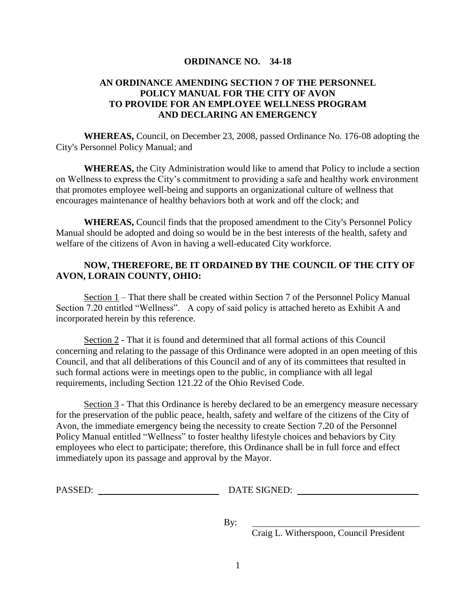## **ORDINANCE NO. 34-18**

## **AN ORDINANCE AMENDING SECTION 7 OF THE PERSONNEL POLICY MANUAL FOR THE CITY OF AVON TO PROVIDE FOR AN EMPLOYEE WELLNESS PROGRAM AND DECLARING AN EMERGENCY**

**WHEREAS,** Council, on December 23, 2008, passed Ordinance No. 176-08 adopting the City's Personnel Policy Manual; and

**WHEREAS,** the City Administration would like to amend that Policy to include a section on Wellness to express the City's commitment to providing a safe and healthy work environment that promotes employee well-being and supports an organizational culture of wellness that encourages maintenance of healthy behaviors both at work and off the clock; and

**WHEREAS,** Council finds that the proposed amendment to the City's Personnel Policy Manual should be adopted and doing so would be in the best interests of the health, safety and welfare of the citizens of Avon in having a well-educated City workforce.

## **NOW, THEREFORE, BE IT ORDAINED BY THE COUNCIL OF THE CITY OF AVON, LORAIN COUNTY, OHIO:**

Section 1 – That there shall be created within Section 7 of the Personnel Policy Manual Section 7.20 entitled "Wellness". A copy of said policy is attached hereto as Exhibit A and incorporated herein by this reference.

Section 2 - That it is found and determined that all formal actions of this Council concerning and relating to the passage of this Ordinance were adopted in an open meeting of this Council, and that all deliberations of this Council and of any of its committees that resulted in such formal actions were in meetings open to the public, in compliance with all legal requirements, including Section 121.22 of the Ohio Revised Code.

Section 3 - That this Ordinance is hereby declared to be an emergency measure necessary for the preservation of the public peace, health, safety and welfare of the citizens of the City of Avon, the immediate emergency being the necessity to create Section 7.20 of the Personnel Policy Manual entitled "Wellness" to foster healthy lifestyle choices and behaviors by City employees who elect to participate; therefore, this Ordinance shall be in full force and effect immediately upon its passage and approval by the Mayor.

PASSED: DATE SIGNED:

By:

Craig L. Witherspoon, Council President